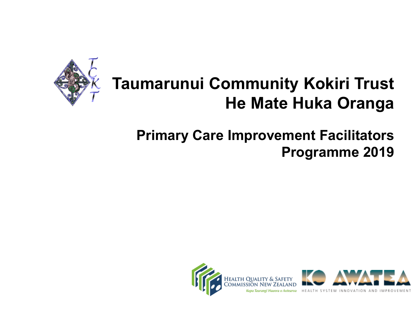

## **Taumarunui Community Kokiri Trust He Mate Huka Oranga**

#### **Primary Care Improvement Facilitators Programme 2019**

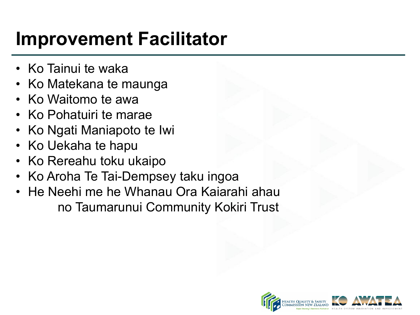# **Improvement Facilitator**

- Ko Tainui te waka
- Ko Matekana te maunga
- Ko Waitomo te awa
- Ko Pohatuiri te marae
- Ko Ngati Maniapoto te Iwi
- Ko Uekaha te hapu
- Ko Rereahu toku ukaipo
- Ko Aroha Te Tai-Dempsey taku ingoa
- He Neehi me he Whanau Ora Kaiarahi ahau no Taumarunui Community Kokiri Trust

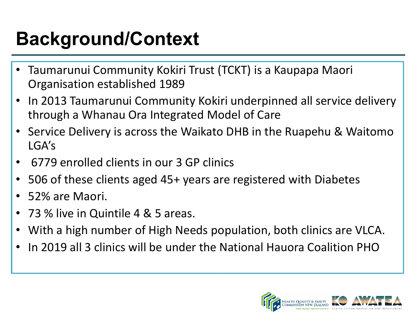# **Background/Context**

- Taumarunui Community Kokiri Trust (TCKT) is a Kaupapa Maori Organisation established 1989
- In 2013 Taumarunui Community Kokiri underpinned all service delivery through a Whanau Ora Integrated Model of Care
- Service Delivery is across the Waikato DHB in the Ruapehu & Waitomo LGA's
- 6779 enrolled clients in our 3 GP clinics
- 506 of these clients aged 45+ years are registered with Diabetes
- 52% are Maori.
- 73 % live in Quintile 4 & 5 areas.
- With a high number of High Needs population, both clinics are VLCA.
- In 2019 all 3 clinics will be under the National Hauora Coalition PHO

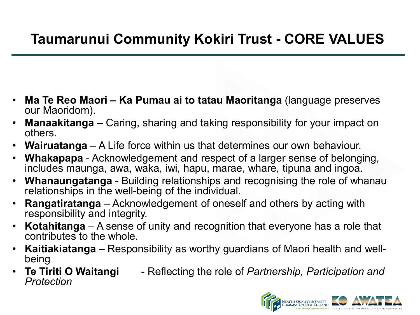#### **Taumarunui Community Kokiri Trust - CORE VALUES**

- **Ma Te Reo Maori – Ka Pumau ai to tatau Maoritanga** (language preserves our Maoridom).
- **Manaakitanga –** Caring, sharing and taking responsibility for your impact on others.
- **Wairuatanga**  A Life force within us that determines our own behaviour.
- **Whakapapa** Acknowledgement and respect of a larger sense of belonging, includes maunga, awa, waka, iwi, hapu, marae, whare, tipuna and ingoa.
- **Whanaungatanga** Building relationships and recognising the role of whanau relationships in the well-being of the individual.
- **Rangatiratanga** Acknowledgement of oneself and others by acting with responsibility and integrity.
- **Kotahitanga** A sense of unity and recognition that everyone has a role that contributes to the whole.
- **Kaitiakiatanga –** Responsibility as worthy guardians of Maori health and well- being
- **Te Tiriti O Waitangi** Reflecting the role of *Partnership, Participation and Protection*

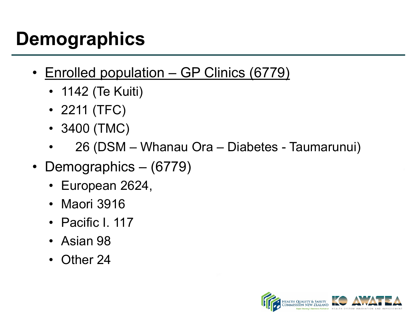# **Demographics**

- Enrolled population GP Clinics (6779)
	- 1142 (Te Kuiti)
	- 2211 (TFC)
	- 3400 (TMC)
	- 26 (DSM Whanau Ora Diabetes Taumarunui)
- Demographics (6779)
	- European 2624,
	- Maori 3916
	- Pacific I. 117
	- Asian 98
	- Other 24

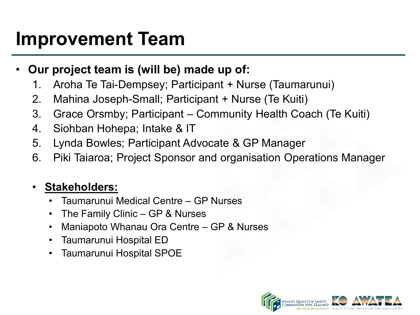## **Improvement Team**

- **Our project team is (will be) made up of:**
	- 1. Aroha Te Tai-Dempsey; Participant + Nurse (Taumarunui)
	- 2. Mahina Joseph-Small; Participant + Nurse (Te Kuiti)
	- 3. Grace Orsmby; Participant Community Health Coach (Te Kuiti)
	- 4. Siohban Hohepa; Intake & IT
	- 5. Lynda Bowles; Participant Advocate & GP Manager
	- 6. Piki Taiaroa; Project Sponsor and organisation Operations Manager

#### • **Stakeholders:**

- Taumarunui Medical Centre GP Nurses
- The Family Clinic GP & Nurses
- Maniapoto Whanau Ora Centre GP & Nurses
- Taumarunui Hospital ED
- Taumarunui Hospital SPOE

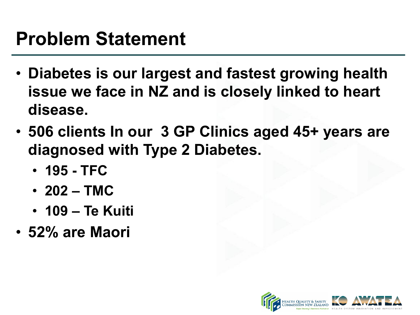## **Problem Statement**

- **Diabetes is our largest and fastest growing health issue we face in NZ and is closely linked to heart disease.**
- **506 clients In our 3 GP Clinics aged 45+ years are diagnosed with Type 2 Diabetes.**
	- **195 - TFC**
	- **202 – TMC**
	- **109 – Te Kuiti**
- **52% are Maori**

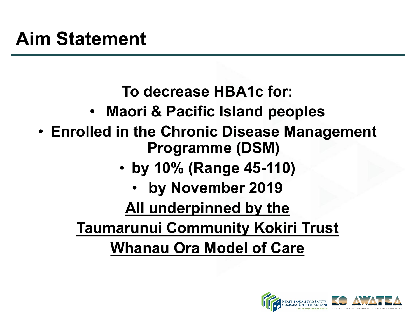**To decrease HBA1c for:**

- **Maori & Pacific Island peoples**
- **Enrolled in the Chronic Disease Management Programme (DSM)** 
	- **by 10% (Range 45-110)**
		- **by November 2019**

**All underpinned by the** 

**Taumarunui Community Kokiri Trust Whanau Ora Model of Care**

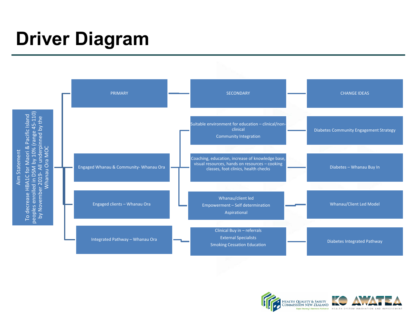# **Driver Diagram**



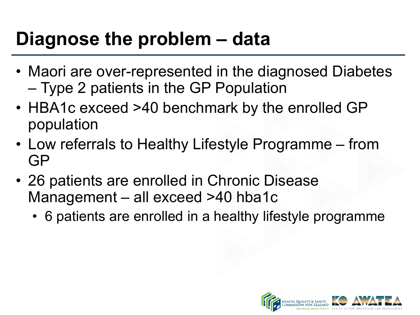## **Diagnose the problem – data**

- Maori are over-represented in the diagnosed Diabetes – Type 2 patients in the GP Population
- HBA1c exceed >40 benchmark by the enrolled GP population
- Low referrals to Healthy Lifestyle Programme from GP
- 26 patients are enrolled in Chronic Disease Management – all exceed >40 hba1c
	- 6 patients are enrolled in a healthy lifestyle programme

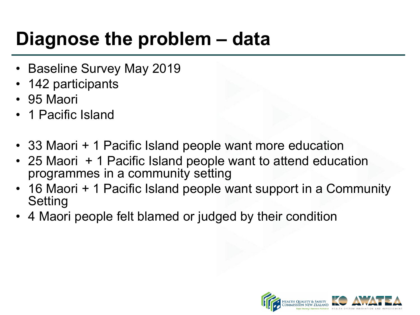# **Diagnose the problem – data**

- Baseline Survey May 2019
- 142 participants
- 95 Maori
- 1 Pacific Island
- 33 Maori + 1 Pacific Island people want more education
- 25 Maori + 1 Pacific Island people want to attend education programmes in a community setting
- 16 Maori + 1 Pacific Island people want support in a Community Setting
- 4 Maori people felt blamed or judged by their condition

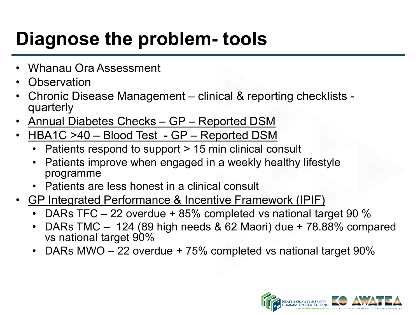# **Diagnose the problem- tools**

- Whanau Ora Assessment
- Observation
- Chronic Disease Management clinical & reporting checklists quarterly
- Annual Diabetes Checks GP Reported DSM
- HBA1C >40 Blood Test GP Reported DSM
	- Patients respond to support > 15 min clinical consult
	- Patients improve when engaged in a weekly healthy lifestyle programme
	- Patients are less honest in a clinical consult
- GP Integrated Performance & Incentive Framework (IPIF)
	- DARs TFC 22 overdue + 85% completed vs national target 90 %
	- DARs TMC 124 (89 high needs & 62 Maori) due + 78.88% compared vs national target 90%
	- DARs MWO 22 overdue + 75% completed vs national target 90%

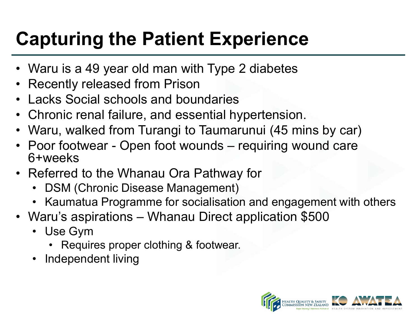# **Capturing the Patient Experience**

- Waru is a 49 year old man with Type 2 diabetes
- Recently released from Prison
- Lacks Social schools and boundaries
- Chronic renal failure, and essential hypertension.
- Waru, walked from Turangi to Taumarunui (45 mins by car)
- Poor footwear Open foot wounds requiring wound care 6+weeks
- Referred to the Whanau Ora Pathway for
	- DSM (Chronic Disease Management)
	- Kaumatua Programme for socialisation and engagement with others
- Waru's aspirations Whanau Direct application \$500
	- Use Gym
		- Requires proper clothing & footwear.
	- Independent living

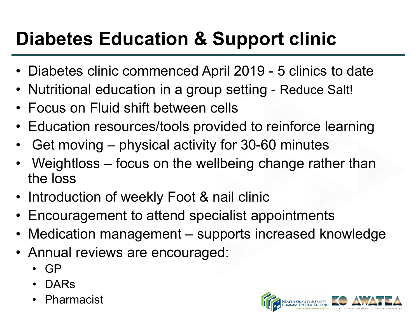# **Diabetes Education & Support clinic**

- Diabetes clinic commenced April 2019 5 clinics to date
- Nutritional education in a group setting Reduce Salt!
- Focus on Fluid shift between cells
- Education resources/tools provided to reinforce learning
- Get moving physical activity for 30-60 minutes
- Weightloss focus on the wellbeing change rather than the loss
- Introduction of weekly Foot & nail clinic
- Encouragement to attend specialist appointments
- Medication management supports increased knowledge
- Annual reviews are encouraged:
	- GP
	- DARs
	- **Pharmacist**

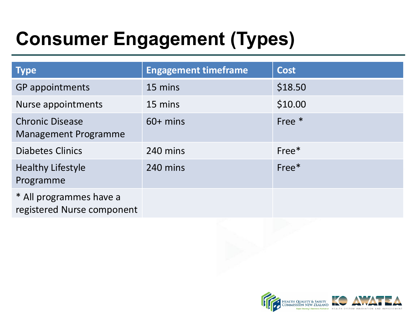# **Consumer Engagement (Types)**

| <b>Type</b>                                           | <b>Engagement timeframe</b> | <b>Cost</b> |
|-------------------------------------------------------|-----------------------------|-------------|
| <b>GP</b> appointments                                | 15 mins                     | \$18.50     |
| Nurse appointments                                    | 15 mins                     | \$10.00     |
| <b>Chronic Disease</b><br><b>Management Programme</b> | $60+$ mins                  | Free $*$    |
| <b>Diabetes Clinics</b>                               | 240 mins                    | Free*       |
| <b>Healthy Lifestyle</b><br>Programme                 | 240 mins                    | $Free*$     |
| * All programmes have a<br>registered Nurse component |                             |             |

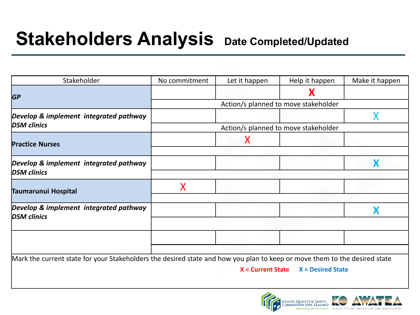## **Stakeholders Analysis** Date Completed/Updated

| Stakeholder                                                                                                               | No commitment                        | Let it happen       | Help it happen           | Make it happen |
|---------------------------------------------------------------------------------------------------------------------------|--------------------------------------|---------------------|--------------------------|----------------|
| <b>GP</b>                                                                                                                 |                                      |                     | X                        |                |
|                                                                                                                           | Action/s planned to move stakeholder |                     |                          |                |
| Develop & implement integrated pathway<br><b>DSM</b> clinics                                                              |                                      |                     |                          |                |
|                                                                                                                           | Action/s planned to move stakeholder |                     |                          |                |
| <b>Practice Nurses</b>                                                                                                    |                                      | Х                   |                          |                |
|                                                                                                                           |                                      |                     |                          |                |
| Develop & implement integrated pathway                                                                                    |                                      |                     |                          |                |
| <b>DSM</b> clinics                                                                                                        |                                      |                     |                          |                |
| Taumarunui Hospital                                                                                                       | X                                    |                     |                          |                |
|                                                                                                                           |                                      |                     |                          |                |
| Develop & implement integrated pathway<br><b>DSM</b> clinics                                                              |                                      |                     |                          |                |
|                                                                                                                           |                                      |                     |                          |                |
|                                                                                                                           |                                      |                     |                          |                |
|                                                                                                                           |                                      |                     |                          |                |
| Mark the current state for your Stakeholders the desired state and how you plan to keep or move them to the desired state |                                      |                     |                          |                |
|                                                                                                                           |                                      | $X =$ Current State | <b>X</b> = Desired State |                |
|                                                                                                                           |                                      |                     |                          |                |

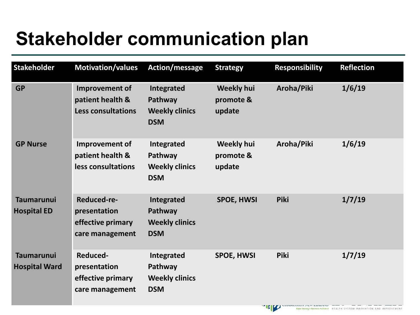# **Stakeholder communication plan**

| <b>Stakeholder</b>                        | <b>Motivation/values</b>                                            | Action/message                                               | <b>Strategy</b>                          | <b>Responsibility</b> | <b>Reflection</b> |
|-------------------------------------------|---------------------------------------------------------------------|--------------------------------------------------------------|------------------------------------------|-----------------------|-------------------|
| <b>GP</b>                                 | Improvement of<br>patient health &<br><b>Less consultations</b>     | Integrated<br>Pathway<br><b>Weekly clinics</b><br><b>DSM</b> | <b>Weekly hui</b><br>promote &<br>update | Aroha/Piki            | 1/6/19            |
| <b>GP Nurse</b>                           | Improvement of<br>patient health &<br>less consultations            | Integrated<br>Pathway<br><b>Weekly clinics</b><br><b>DSM</b> | <b>Weekly hui</b><br>promote &<br>update | Aroha/Piki            | 1/6/19            |
| <b>Taumarunui</b><br><b>Hospital ED</b>   | Reduced-re-<br>presentation<br>effective primary<br>care management | Integrated<br>Pathway<br><b>Weekly clinics</b><br><b>DSM</b> | <b>SPOE, HWSI</b>                        | <b>Piki</b>           | 1/7/19            |
| <b>Taumarunui</b><br><b>Hospital Ward</b> | Reduced-<br>presentation<br>effective primary<br>care management    | Integrated<br>Pathway<br><b>Weekly clinics</b><br><b>DSM</b> | <b>SPOE, HWSI</b>                        | <b>Piki</b>           | 1/7/19            |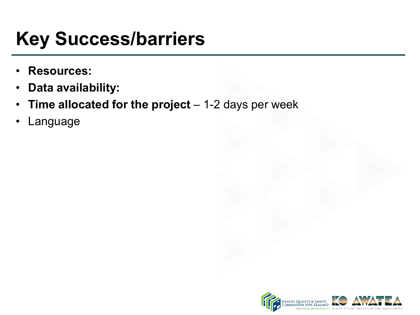# **Key Success/barriers**

- **Resources:**
- **Data availability:**
- **Time allocated for the project**  1-2 days per week
- **Language**